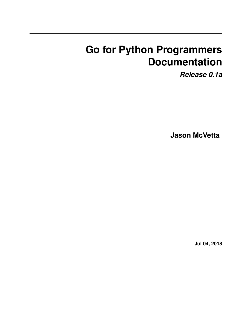# **Go for Python Programmers Documentation**

*Release 0.1a*

**Jason McVetta**

**Jul 04, 2018**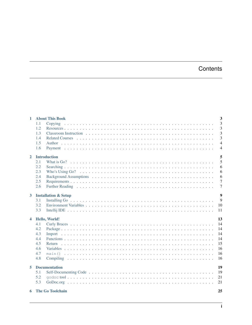# Contents

|                      | 1 About This Book               | $\overline{3}$      |
|----------------------|---------------------------------|---------------------|
|                      | 1.1<br>1.2                      | $\overline{3}$<br>3 |
|                      | 1.3                             | $\overline{3}$      |
|                      | 1.4                             | 3                   |
|                      | 1.5                             | $\overline{4}$      |
|                      | 1.6                             | $\overline{4}$      |
| $\overline{2}$       | <b>Introduction</b>             | 5                   |
|                      | 2.1                             | 5                   |
|                      | 2.2                             | 6                   |
|                      | 2.3                             | 6                   |
|                      | 2.4                             | 6                   |
|                      | 2.5                             | $\overline{7}$      |
|                      | 2.6                             | $\overline{7}$      |
| $\mathbf{3}$         | <b>Installation &amp; Setup</b> | 9                   |
|                      | 3.1                             | 9                   |
|                      | 3.2                             | 10                  |
|                      | 3.3                             | 11                  |
|                      |                                 |                     |
| $\blacktriangleleft$ | Hello, World!                   | 13                  |
|                      | 4.1                             | 14                  |
|                      | 4.2                             | 14                  |
|                      | 4.3                             | 14                  |
|                      | 4.4                             | 14                  |
|                      | 4.5                             | 15                  |
|                      | 4.6                             | 16                  |
|                      | 4.7                             | 16                  |
|                      | 4.8                             | 16                  |
| 5                    | <b>Documentation</b>            | 19                  |
|                      | 5.1                             | 19                  |
|                      | 5.2                             | 21                  |
|                      | 5.3                             | 21                  |
|                      | <b>6</b> The Go Toolchain       | 25                  |
|                      |                                 |                     |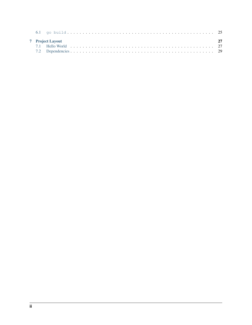|  | <b>7</b> Project Layout |  |
|--|-------------------------|--|
|  |                         |  |
|  |                         |  |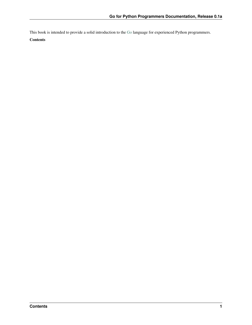This book is intended to provide a solid introduction to the [Go](http://golang.org) language for experienced Python programmers.

### **Contents**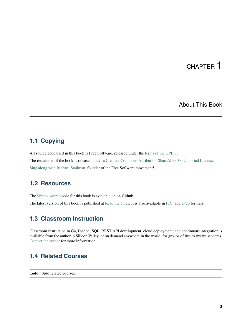# About This Book

## <span id="page-6-1"></span><span id="page-6-0"></span>**1.1 Copying**

All source code used in this book is Free Software, released under the [terms of the GPL v3.](http://www.gnu.org/copyleft/gpl.html) The remainder of the book is released under a [Creative Commons Attribution-ShareAlike 3.0 Unported License.](http://creativecommons.org/licenses/by-sa/3.0/deed.en_US) [Sing along with Richard Stallman,](https://upload.wikimedia.org/wikipedia/commons/9/9c/Stallman_free_software_song.ogv) founder of the Free Software movement!

## <span id="page-6-2"></span>**1.2 Resources**

The [Sphinx](http://sphinx-doc.org) [source code](http://github.com/jmcvetta/golang-for-python-programmers) for this book is available on on Github.

The latest version of this book is published at [Read the Docs.](http://golang-for-python-programmers.readthedocs.org/) It is also available in [PDF](https://media.readthedocs.org/pdf/golang-for-python-programmers/latest/golang-for-python-programmers.pdf) and [ePub](https://media.readthedocs.org/epub/golang-for-python-programmers/latest/golang-for-python-programmers.epub) formats.

# <span id="page-6-3"></span>**1.3 Classroom Instruction**

Classroom instruction in Go, Python, SQL, REST API development, cloud deployment, and continuous integration is available from the author in Silicon Valley, or on demand anywhere in the world, for groups of five to twelve students. [Contact the author](mailto:jason.mcvetta@gmail.com) for more information.

## <span id="page-6-4"></span>**1.4 Related Courses**

Todo: Add related courses.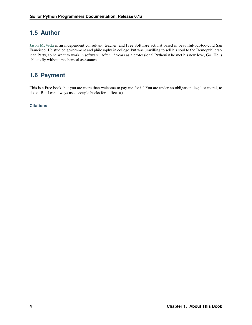# <span id="page-7-0"></span>**1.5 Author**

[Jason McVetta](mailto:jason.mcvetta@gmail.com) is an independent consultant, teacher, and Free Software activist based in beautiful-but-too-cold San Francisco. He studied government and philosophy in college, but was unwilling to sell his soul to the Demopublicratican Party, so he went to work in software. After 12 years as a professional Pythonist he met his new love, Go. He is able to fly without mechanical assistance.

# <span id="page-7-1"></span>**1.6 Payment**

This is a Free book, but you are more than welcome to pay me for it! You are under no obligation, legal or moral, to do so. But I can always use a couple bucks for coffee. =)

### **Citations**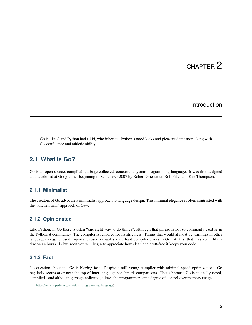## Introduction

<span id="page-8-0"></span>Go is like C and Python had a kid, who inherited Python's good looks and pleasant demeanor, along with C's confidence and athletic ability.

## <span id="page-8-1"></span>**2.1 What is Go?**

Go is an open source, compiled, garbage-collected, concurrent system programming language. It was first designed and developed at Google Inc. beginning in September 2007 by Robert Griesemer, Rob Pike, and Ken Thompson.<sup>[1](#page-8-2)</sup>

### **2.1.1 Minimalist**

The creators of Go advocate a minimalist approach to language design. This minimal elegance is often contrasted with the "kitchen sink" approach of C++.

### **2.1.2 Opinionated**

Like Python, in Go there is often "one right way to do things", although that phrase is not so commonly used as in the Pythonist community. The compiler is renowed for its strictness. Things that would at most be warnings in other languages - e.g. unused imports, unused variables - are hard compiler errors in Go. At first that may seem like a draconian buzzkill - but soon you will begin to appreciate how clean and cruft-free it keeps your code.

### **2.1.3 Fast**

No question about it - Go is blazing fast. Despite a still young compiler with minimal speed optimizations, Go regularly scores at or near the top of inter-language benchmark comparisons. That's because Go is statically typed, compiled - and although garbage-collected, allows the programmer some degree of control over memory usage.

<span id="page-8-2"></span><sup>1</sup> [https://en.wikipedia.org/wiki/Go\\_\(programming\\_language\)](https://en.wikipedia.org/wiki/Go_(programming_language)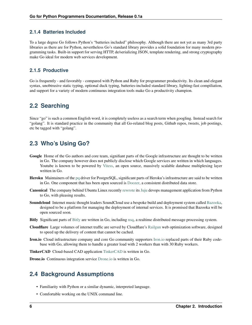## **2.1.4 Batteries Included**

To a large degree Go follows Python's "batteries included" philosophy. Although there are not yet as many 3rd party libraries as there are for Python, nevertheless Go's standard library provides a solid foundation for many modern programming tasks. Built-in support for serving HTTP, de/serializing JSON, template rendering, and strong cryptography make Go ideal for modern web services development.

### **2.1.5 Productive**

Go is frequently - and favorably - compared with Python and Ruby for programmer productivity. Its clean and elegant syntax, unobtrusive static typing, optional duck typing, batteries-included standard library, lighting-fast compiliation, and support for a variety of modern continuous integration tools make Go a productivity champion.

# <span id="page-9-0"></span>**2.2 Searching**

Since "go" is such a common English word, it is completely useless as a search term when googling. Instead search for "golang". It is standard practice in the community that all Go-related blog posts, Github repos, tweets, job postings, etc be tagged with "golang".

# <span id="page-9-1"></span>**2.3 Who's Using Go?**

- Google Home of the Go authors and core team, signifiant parts of the Google infrastructure are thought to be written in Go. The company however does not publicly disclose which Google services are written in which languages. Youtube is known to be powered by [Vitess,](https://code.google.com/p/vitess/) an open source, massively scalable database multiplexing layer written in Go.
- Heroku Maintainers of the [pq](https://github.com/lib/pq) driver for PostgreSQL, significant parts of Heroku's infrastructure are said to be written in Go. One component that has been open sourced is [Doozer,](https://github.com/ha/doozerd) a consistent distributed data store.
- Canonical The company behind Ubuntu Linux recently [rewrote](https://www.youtube.com/watch?v=USr0Bvg1ZOo) its [Juju](https://juju.ubuntu.com/) devops management application from Python to Go, with pleasing results.
- Soundcloud Internet music thought leaders SoundCloud use a bespoke build and deployment system called [Bazooka,](http://backstage.soundcloud.com/2012/07/go-at-soundcloud/) designed to be a platform for managing the deployment of internal services. It is promised that Bazooka will be open sourced soon.
- Bitly Significant parts of [Bitly](http://word.bitly.com/post/29550171827/go-go-gadget) are written in Go, including [nsq,](https://github.com/bitly/nsq) a realtime distributed message processing system.
- Cloudflare Large volumes of internet traffic are served by Cloudflare's [Railgun](http://blog.cloudflare.com/go-at-cloudflare) web optimization software, designed to speed up the delivery of content that cannot be cached.
- Iron.io Cloud infrastructure company and core Go community supporters [Iron.io](http://blog.iron.io/2013/03/how-we-went-from-30-servers-to-2-go.html) replaced parts of their Ruby codebase with Go, allowing them to handle a greater load with 2 workers than with 30 Ruby workers.

TinkerCAD Cloud-based CAD application [TinkerCAD](http://www.youtube.com/watch?v=JE17r3n1kz4) is written in Go.

Drone.io Continuous integration service [Drone.io](https://groups.google.com/forum/#!topic/golang-nuts/Lo7KP3rWP3o) is written in Go.

# <span id="page-9-2"></span>**2.4 Background Assumptions**

- Familiarity with Python or a similar dynamic, interpreted language.
- Comfortable working on the UNIX command line.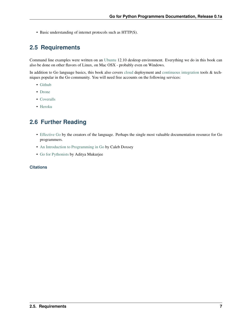• Basic understanding of internet protocols such as HTTP(S).

# <span id="page-10-0"></span>**2.5 Requirements**

Command line examples were written on an [Ubuntu](http://www.ubuntu.com) 12.10 desktop environment. Everything we do in this book can also be done on other flavors of Linux, on Mac OSX - probably even on Windows.

In addition to Go language basics, this book also covers [cloud](http://en.wikipedia.org/wiki/Cloud_computing) deployment and [continuous integration](https://en.wikipedia.org/wiki/Continuous_integration) tools & techniques popular in the Go community. You will need free accounts on the following services:

- [Github](http://github.com)
- [Drone](http://drone.io)
- [Coveralls](http://coveralls.io)
- [Heroku](http://heroku.com)

## <span id="page-10-1"></span>**2.6 Further Reading**

- [Effective Go](http://golang.org/doc/effective_go.html) by the creators of the language. Perhaps the single most valuable documentation resource for Go programmers.
- [An Introduction to Programming in Go](http://www.golang-book.com/) by Caleb Doxsey
- [Go for Pythonists](https://github.com/ChimeraCoder/go-for-pythonists) by Aditya Mukurjee

#### **Citations**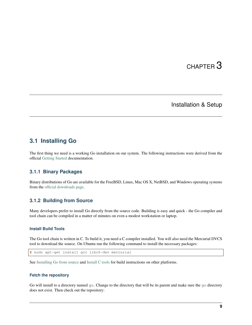## Installation & Setup

## <span id="page-12-1"></span><span id="page-12-0"></span>**3.1 Installing Go**

The first thing we need is a working Go installation on our system. The following instructions were derived from the official [Getting Started](http://golang.org/doc/install) documentation.

### **3.1.1 Binary Packages**

Binary distributions of Go are available for the FreeBSD, Linux, Mac OS X, NetBSD, and Windows operating systems from the [official downloads page.](https://code.google.com/p/go/downloads/list)

### **3.1.2 Building from Source**

Many developers prefer to install Go directly from the source code. Building is easy and quick - the Go compiler and tool chain can be compiled in a matter of minutes on even a modest workstation or laptop.

#### **Install Build Tools**

The Go tool chain is written in C. To build it, you need a C compiler installed. You will also need the Mercurial DVCS tool to download the source. On Ubuntu run the following command to install the necessary packages:

```
$ sudo apt-get install gcc libc6-dev mercurial
```
See [Installing Go from source](http://golang.org/doc/install/source) and [Install C tools](https://code.google.com/p/go-wiki/wiki/InstallFromSource#Install_C_tools) for build instructions on other platforms.

#### **Fetch the repository**

Go will install to a directory named go. Change to the directory that will be its parent and make sure the go directory does not exist. Then check out the repository: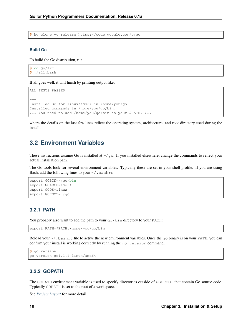**\$** hg clone -u release https://code.google.com/p/go

#### **Build Go**

To build the Go distribution, run

**\$** cd go/src **\$** ./all.bash

If all goes well, it will finish by printing output like:

ALL TESTS PASSED --- Installed Go for linux/amd64 in /home/you/go. Installed commands in /home/you/go/bin. \*\*\* You need to add /home/you/go/bin to your \$PATH. \*\*\*

where the details on the last few lines reflect the operating system, architecture, and root directory used during the install.

## <span id="page-13-0"></span>**3.2 Environment Variables**

These instructions assume Go is installed at  $\sim$ /go. If you installed elsewhere, change the commands to reflect your actual installation path.

The Go tools look for several environment variables. Typically these are set in your shell profile. If you are using Bash, add the following lines to your  $\sim$  / . bashrc:

```
export GOBIN=~/go/bin
export GOARCH=amd64
export GOOS=linux
export GOROOT=~/go
```
### **3.2.1 PATH**

You probably also want to add the path to your  $\sigma$  o /bin directory to your PATH:

export PATH=\$PATH:/home/you/go/bin

Reload your  $\sim$  /. bashrc file to active the new environment variables. Once the go binary is on your PATH, you can confirm your install is working correctly by running the go version command.

```
$ go version
go version go1.1.1 linux/amd64
```
### **3.2.2 GOPATH**

The GOPATH environment variable is used to specify directories outside of \$GOROOT that contain Go source code. Typically GOPATH is set to the root of a workspace.

See *[Project Layout](#page-30-0)* for more detail.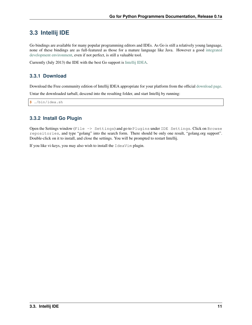## <span id="page-14-0"></span>**3.3 Intellij IDE**

Go bindings are available for many popular programming editors and IDEs. As Go is still a relatively young language, none of these bindings are as full-featured as those for a mature language like Java. However a good [integrated](https://en.wikipedia.org/wiki/Integrated_development_environment) [development environment,](https://en.wikipedia.org/wiki/Integrated_development_environment) even if not perfect, is still a valuable tool.

Currently (July 2013) the IDE with the best Go support is [Intellij IDEA.](https://www.jetbrains.com/idea/)

### **3.3.1 Download**

Download the Free community edition of Intellij IDEA appropriate for your platform from the official [download page.](https://www.jetbrains.com/idea/download/)

Untar the downloaded tarball, descend into the resulting folder, and start Intellij by running:

**\$** ./bin/idea.sh

## **3.3.2 Install Go Plugin**

Open the Settings window (File -> Settings) and go to Plugins under IDE Settings. Click on Browse repositories, and type "golang" into the search form. There should be only one result, "golang.org support". Double-click on it to install, and close the settings. You will be prompted to restart Intellij.

If you like vi-keys, you may also wish to install the IdeaVim plugin.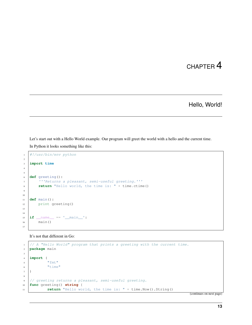Hello, World!

<span id="page-16-0"></span>Let's start out with a Hello World example. Our program will greet the world with a hello and the current time.

In Python it looks something like this:

```
1 #!/usr/bin/env python
2
3 import time
4
5
6 def greeting():
7 '''Returns a pleasant, semi-useful greeting.'''
8 return "Hello world, the time is: " + time.ctime()
9
10
11 def main():
12 print greeting()
13
14
15 if __name__ == '__main__':
16 main()
17
```
It's not that different in Go:

```
1 // A "Hello World" program that prints a greeting with the current time.
2 package main
3
4 import (
5 "fmt"
6 "time"
7 )
8
9 // greeting returns a pleasant, semi-useful greeting.
10 func greeting() string {
11 return "Hello world, the time is: " + time. Now (). String()
```
(continues on next page)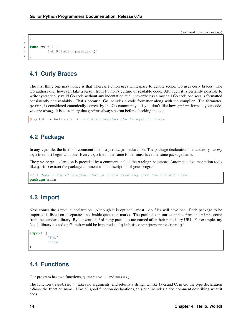```
14 func main() {
15 fmt.Println(greeting())
```
## <span id="page-17-0"></span>**4.1 Curly Braces**

<sup>12</sup> } 13

<sup>16</sup> }

The first thing one may notice is that whereas Python uses whitespace to denote scope, Go uses curly braces. The Go authors did, however, take a lesson from Python's culture of readable code. Although it is certainly possible to write syntactically valid Go code without any indentation at all, nevertheless almost all Go code one sees is formatted consistently and readably. That's because, Go includes a code formatter along with the compiler. The formatter, gofmt, is considered canonically correct by the Go community - if you don't like how gofmt formats your code, *you are wrong*. It is customary that  $\varphi$  fmt always be run before checking in code.

**\$** gofmt -w hello.go # -w option updates the file(s) in place

## <span id="page-17-1"></span>**4.2 Package**

In any .go file, the first non-comment line is a package declaration. The package declaration is mandatory - *every* .  $q \circ$  file must begin with one. Every .  $q \circ$  file in the same folder must have the same package name.

The package declaration is preceded by a comment, called the *package comment*. Automatic documentation tools like godoc extract the package comment as the description of your program.

```
// A "Hello World" program that prints a greeting with the current time.
package main
```
## <span id="page-17-2"></span>**4.3 Import**

Next comes the import declaration. Although it is optional, most .go files will have one. Each package to be imported is listed on a separate line, inside quotation marks. The packages in our example, fmt and time, come from the standard library. By convention, 3rd-party packages are named after their repository URL. For example, my Neo4j library hosted on Github would be imported as "github.com/jmcvetta/neo4j".

```
import (
          "fmt"
          "time"
)
```
## <span id="page-17-3"></span>**4.4 Functions**

Our program has two functions, greeting() and main().

The function greeting() takes no arguments, and returns a string. Unlike Java and C, in Go the type declaration *follows* the function name. Like all good function declarations, this one includes a doc comment describing what it does.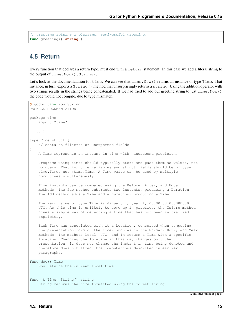```
// greeting returns a pleasant, semi-useful greeting.
func greeting() string {
```
# <span id="page-18-0"></span>**4.5 Return**

Every function that declares a return type, must end with a return statement. In this case we add a literal string to the output of time.Now().String()

Let's look at the documentatation for time. We can see that time.Now() returns an instance of type Time. That instance, in turn, exports a  $String()$  method that unsurprisingly returns a string. Using the addition operator with two strings results in the strings being concatenated. If we had tried to add our greeting string to just  $\tt time.Now()$ the code would not compile, due to type mismatch.

```
$ godoc time Now String
PACKAGE DOCUMENTATION
package time
   import "time"
[ ... ]
type Time struct {
    // contains filtered or unexported fields
}
   A Time represents an instant in time with nanosecond precision.
   Programs using times should typically store and pass them as values, not
   pointers. That is, time variables and struct fields should be of type
   time.Time, not *time.Time. A Time value can be used by multiple
   goroutines simultaneously.
   Time instants can be compared using the Before, After, and Equal
   methods. The Sub method subtracts two instants, producing a Duration.
   The Add method adds a Time and a Duration, producing a Time.
   The zero value of type Time is January 1, year 1, 00:00:00.000000000
   UTC. As this time is unlikely to come up in practice, the IsZero method
   gives a simple way of detecting a time that has not been initialized
   explicitly.
   Each Time has associated with it a Location, consulted when computing
   the presentation form of the time, such as in the Format, Hour, and Year
   methods. The methods Local, UTC, and In return a Time with a specific
   location. Changing the location in this way changes only the
   presentation; it does not change the instant in time being denoted and
   therefore does not affect the computations described in earlier
   paragraphs.
func Now() Time
    Now returns the current local time.
func (t Time) String() string
   String returns the time formatted using the format string
```
(continues on next page)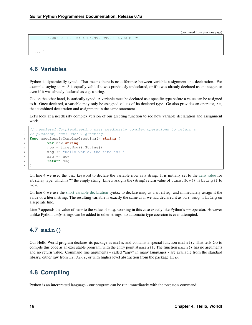```
"2006-01-02 15:04:05.999999999 -0700 MST"
```

```
[ ... ]
```
# <span id="page-19-0"></span>**4.6 Variables**

Python is dynamically typed. That means there is no difference between variable assignment and declaration. For example, saying  $x = 3$  is equally valid if x was previously undeclared, or if it was already declared as an integer, or even if it was already declared as e.g. a string.

Go, on the other hand, is statically typed. A variable must be declared as a specific type before a value can be assigned to it. Once declared, a variable may only be assigned values of its declared type. Go also provides an operator, :=, that combined declaration and assignment in the same statement.

Let's look at a needlessly complex version of our greeting function to see how variable declaration and assignment work.

```
1 // needlesslyComplexGreeting uses needlessly complex operations to return a
2 // pleasant, semi-useful greeting.
3 func needlesslyComplexGreeting() string {
4 var now string
5 now = time. Now (). String ()
6 msg := "Hello world, the time is: "
7 \text{ msg } += \text{ now}8 return msg
9 }
```
On line 4 we used the var keyword to declare the variable now as a string. It is initially set to the [zero value](http://golang.org/ref/spec#The_zero_value) for string type, which is "" the empty string. Line 5 assigns the (string) return value of time.Now().String() to now.

On line 6 we use the [short variable declaration](http://golang.org/ref/spec#Short_variable_declarations) syntax to declare msg as a string, and immediately assign it the value of a literal string. The resulting variable is exactly the same as if we had declared it as var msg string on a seperate line.

Line 7 appends the value of now to the value of msg, working in this case exactly like Python's  $+=$  operator. However unlike Python, *only* strings can be added to other strings, no automatic type coercion is ever attempted.

# <span id="page-19-1"></span>**4.7 main()**

Our Hello World program declares its package as main, and contains a special function main(). That tells Go to compile this code as an executable program, with the entry point at main(). The function main() has no arguments and no return value. Command line arguments - called "argv" in many languages - are available from the standard library, either raw from os.Args, or with higher level abstraction from the package flag.

# <span id="page-19-2"></span>**4.8 Compiling**

Python is an interpretted language - our program can be run immediately with the python command: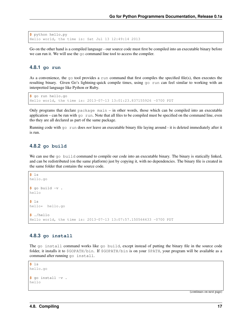```
$ python hello.py
Hello world, the time is: Sat Jul 13 12:49:14 2013
```
Go on the other hand is a compiled language - our source code must first be compiled into an executable binary before we can run it. We will use the go command line tool to access the compiler.

#### **4.8.1 go run**

As a convenience, the go tool provides a run command that first compiles the specified file(s), then executes the resulting binary. Given Go's lightning-quick compile times, using go run can feel similar to working with an interpretted language like Python or Ruby.

```
$ go run hello.go
Hello world, the time is: 2013-07-13 13:01:23.837155926 -0700 PDT
```
Only programs that declare  $\text{package main} - \text{in other words}$ , those which can be compiled into an executable application – can be run with  $g \circ r$ un. Note that all files to be compiled must be specified on the command line, even tho they are all declared as part of the same package.

Running code with go run does *not* leave an executable binary file laying around - it is deleted immediately after it is run.

#### **4.8.2 go build**

We can use the go build command to compile our code into an executable binary. The binary is statically linked, and can be redistributed (on the same platform) just by copying it, with no dependencies. The binary file is created in the same folder that contains the source code.

```
$ ls
hello.go
$ go build -v .
hello
$ ls
hello* hello.go
$ ./hello
Hello world, the time is: 2013-07-13 13:07:57.150564433 -0700 PDT
```
### **4.8.3 go install**

The go install command works like go build, except instead of putting the binary file in the source code folder, it installs it to \$GOPATH/bin. If \$GOPATH/bin is on your \$PATH, your program will be available as a command after running go install.

```
$ ls
hello.go
$ go install -v .
hello
```
(continues on next page)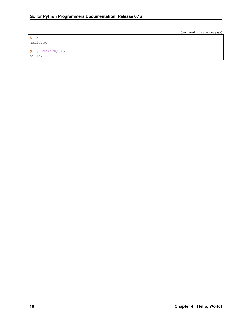**\$** ls hello.go

**\$** ls \$GOPATH/bin hello\*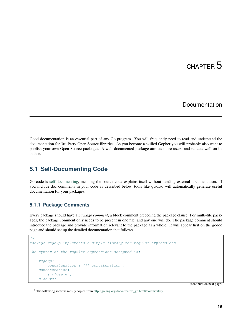## Documentation

<span id="page-22-0"></span>Good documentation is an essential part of any Go program. You will frequently need to read and understand the documentation for 3rd Party Open Source libraries. As you become a skilled Gopher you will probably also want to publish your own Open Source packages. A well-documented package attracts more users, and reflects well on its author.

## <span id="page-22-1"></span>**5.1 Self-Documenting Code**

Go code is [self-documenting,](http://en.wikipedia.org/wiki/Self-documenting) meaning the source code explains itself without needing external documentation. If you include doc comments in your code as described below, tools like godoc will automatically generate useful documentation for your packages.<sup>[1](#page-22-2)</sup>

### **5.1.1 Package Comments**

Every package should have a *package comment*, a block comment preceding the package clause. For multi-file packages, the package comment only needs to be present in one file, and any one will do. The package comment should introduce the package and provide information relevant to the package as a whole. It will appear first on the godoc page and should set up the detailed documentation that follows.

```
/*
Package regexp implements a simple library for regular expressions.
The syntax of the regular expressions accepted is:
    regexp:
        concatenation { '|' concatenation }
    concatenation:
        { closure }
    closure:
```
(continues on next page)

<span id="page-22-2"></span><sup>1</sup> The following sections mostly copied from [http://golang.org/doc/effective\\_go.html#commentary](http://golang.org/doc/effective_go.html#commentary)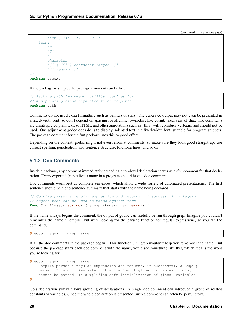```
term \int f^* f + f^* f + f^* f + f^* fterm:
              \mathbf{r} \wedge \mathbf{r}151\mathcal{F}^{\mathcal{F}}_{\mathcal{F}}character
              '[' [ '^' ] character-ranges ']'
              '(' regexp ')'
*/
package regexp
```
If the package is simple, the package comment can be brief.

```
// Package path implements utility routines for
// manipulating slash-separated filename paths.
package path
```
Comments do not need extra formatting such as banners of stars. The generated output may not even be presented in a fixed-width font, so don't depend on spacing for alignment—godoc, like gofmt, takes care of that. The comments are uninterpreted plain text, so HTML and other annotations such as \_this\_ will reproduce verbatim and should not be used. One adjustment godoc does do is to display indented text in a fixed-width font, suitable for program snippets. The package comment for the fmt package uses this to good effect.

Depending on the context, godoc might not even reformat comments, so make sure they look good straight up: use correct spelling, punctuation, and sentence structure, fold long lines, and so on.

### **5.1.2 Doc Comments**

Inside a package, any comment immediately preceding a top-level declaration serves as a *doc comment* for that declaration. Every exported (capitalized) name in a program should have a doc comment.

Doc comments work best as complete sentences, which allow a wide variety of automated presentations. The first sentence should be a one-sentence summary that starts with the name being declared.

```
// Compile parses a regular expression and returns, if successful, a Regexp
// object that can be used to match against text.
func Compile(str string) (regexp *Regexp, err error) {
```
If the name always begins the comment, the output of godoc can usefully be run through grep. Imagine you couldn't remember the name "Compile" but were looking for the parsing function for regular expressions, so you ran the command,

**\$** godoc regexp | grep parse

If all the doc comments in the package began, "This function. . . ", grep wouldn't help you remember the name. But because the package starts each doc comment with the name, you'd see something like this, which recalls the word you're looking for.

```
$ godoc regexp | grep parse
   Compile parses a regular expression and returns, if successful, a Regexp
    parsed. It simplifies safe initialization of global variables holding
    cannot be parsed. It simplifies safe initialization of global variables
$
```
Go's declaration syntax allows grouping of declarations. A single doc comment can introduce a group of related constants or variables. Since the whole declaration is presented, such a comment can often be perfunctory.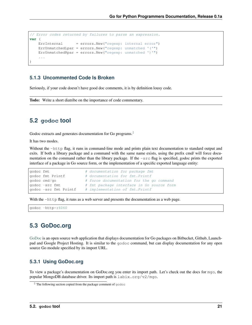```
// Error codes returned by failures to parse an expression.
var (
   ErrInternal = errors.New("regexp: internal error")
   ErrUnmatchedLpar = errors.New("regexp: unmatched '('")
   ErrUnmatchedRpar = errors.New("regexp: unmatched ')'")
    ...
)
```
### **5.1.3 Uncommented Code Is Broken**

Seriously, if your code doesn't have good doc comments, it is by definition lousy code.

Todo: Write a short diatribe on the importance of code commentary.

## <span id="page-24-0"></span>**5.2 godoc tool**

Godoc extracts and generates documentation for Go programs.<sup>[2](#page-24-2)</sup>

It has two modes.

Without the -http flag, it runs in command-line mode and prints plain text documentation to standard output and exits. If both a library package and a command with the same name exists, using the prefix cmd/ will force documentation on the command rather than the library package. If the -src flag is specified, godoc prints the exported interface of a package in Go source form, or the implementation of a specific exported language entity:

```
godoc fmt \# documentation for package fmt
godoc fmt Printf # documentation for fmt. Printf
godoc cmd/go # force documentation for the go command
godoc -src fmt # fmt package interface in Go source form
\phidoc -src fmt Printf \# implementation of fmt. Printf
```
With the  $-$ http flag, it runs as a web server and presents the documentation as a web page.

godoc -http=:6060

## <span id="page-24-1"></span>**5.3 GoDoc.org**

[GoDoc](http://godoc.org) is an open source web application that displays documentation for Go packages on Bitbucket, Github, Launchpad and Google Project Hosting. It is similar to the godoc command, but can display documentation for any open source Go module specified by its import URL.

### **5.3.1 Using GoDoc.org**

To view a package's documentation on GoDoc.org you enter its import path. Let's check out the docs for mgo, the popular MongoDB database driver. Its import path is labix.org/v2/mgo.

<span id="page-24-2"></span><sup>2</sup> The following section copied from the package comment of godoc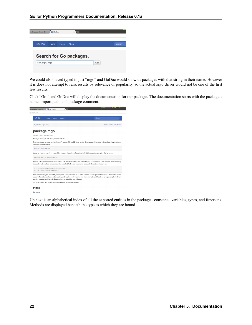| GoDoc<br>Home    | Index<br>About                 |     | Search |
|------------------|--------------------------------|-----|--------|
|                  | <b>Search for Go packages.</b> |     |        |
| labix.org/v2/mgo |                                | Go! |        |

We could also haved typed in just "mgo" and GoDoc would show us packages with that string in their name. However it is does not attempt to rank results by relevance or popularity, so the actual mgo driver would not be one of the first few results.

Click "Go!" and GoDoc will display the documentation for our package. The documentation starts with the package's name, import path, and package comment.

| Google Voice - Inbox (7)                                                     |      | <b>We</b> mgo - GoDoc |                                                                          | ووالقائلة ومد<br><b>BALUB</b> 44 <b>M</b>                                                                                                                                                                                                                       |
|------------------------------------------------------------------------------|------|-----------------------|--------------------------------------------------------------------------|-----------------------------------------------------------------------------------------------------------------------------------------------------------------------------------------------------------------------------------------------------------------|
| .org/v2/mgo                                                                  |      |                       |                                                                          |                                                                                                                                                                                                                                                                 |
| GoDoc                                                                        | Home | Index                 | About                                                                    | Search                                                                                                                                                                                                                                                          |
| mgo: labix.org/v2/mgo                                                        |      |                       |                                                                          | Index   Files   Directories                                                                                                                                                                                                                                     |
| package mgo                                                                  |      |                       |                                                                          |                                                                                                                                                                                                                                                                 |
| import "labix.org/v2/mgo"                                                    |      |                       |                                                                          |                                                                                                                                                                                                                                                                 |
| The mgo ("mango") rich MongoDB driver for Go.                                |      |                       |                                                                          |                                                                                                                                                                                                                                                                 |
| be found at its web page:                                                    |      |                       |                                                                          | The mgo project (pronounced as "mango") is a rich MongoDB driver for the Go language. High-level details about the project may                                                                                                                                  |
| http://labix.org/mgo                                                         |      |                       |                                                                          |                                                                                                                                                                                                                                                                 |
|                                                                              |      |                       |                                                                          | Usage of the driver revolves around the concept of sessions. To get started, obtain a session using the Dial function:                                                                                                                                          |
| session, err := mqo.Dial(url)                                                |      |                       |                                                                          |                                                                                                                                                                                                                                                                 |
|                                                                              |      |                       |                                                                          | This will establish one or more connections with the cluster of servers defined by the url parameter. From then on, the cluster may<br>be queried with multiple consistency rules (see SetMode) and documents retrieved with statements such as:                |
| c := session.DB(database).C(collection)<br>err := c.Find(query).One(&result) |      |                       |                                                                          |                                                                                                                                                                                                                                                                 |
|                                                                              |      |                       | session created must have its Close method called at the end of its use. | New sessions may be created by calling New, Copy, or Clone on an initial session. These spawned sessions will share the same<br>cluster information and connection cache, and may be easily handed into other methods and functions for organizing logic. Every |
|                                                                              |      |                       | For more details, see the documentation for the types and methods.       |                                                                                                                                                                                                                                                                 |
| Index                                                                        |      |                       |                                                                          |                                                                                                                                                                                                                                                                 |
| Constants                                                                    |      |                       |                                                                          |                                                                                                                                                                                                                                                                 |

Up next is an alphabetical index of all the exported entities in the package - constants, variables, types, and functions. Methods are displayed beneath the type to which they are bound.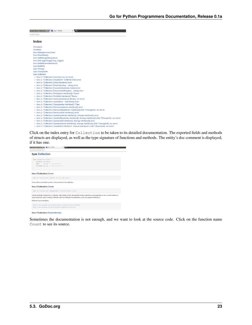| <b>AV</b> mgo - GoDoc<br>Google Voice - Inbox (7)                                                                 |
|-------------------------------------------------------------------------------------------------------------------|
| org/v2/mgo                                                                                                        |
|                                                                                                                   |
| Index                                                                                                             |
| Constants                                                                                                         |
| Variables                                                                                                         |
| func IsDup(err error) bool                                                                                        |
| func ResetStats()                                                                                                 |
| func SetDebug(debug bool)                                                                                         |
| func SetLogger(logger log Logger)                                                                                 |
| func SetStats(enabled bool)                                                                                       |
| type BuildInfo                                                                                                    |
| type Change                                                                                                       |
| type ChangeInfo                                                                                                   |
| type Collection                                                                                                   |
| o func (c *Collection) Count() (n int, err error)                                                                 |
| o func (c *Collection) Create(info *CollectionInfo) error                                                         |
| o func (c *Collection) DropCollection() error                                                                     |
| o func (c *Collection) DropIndex(key string) error                                                                |
| o func (c *Collection) EnsureIndex(index Index) error                                                             |
| o func (c *Collection) EnsureIndexKey(key string) error                                                           |
| o func (c *Collection) Find(query interface{}) *Query                                                             |
| o func (c *Collection) FindId(id interface{}) *Query                                                              |
| o func (c *Collection) Indexes() (indexes []Index, err error)                                                     |
| o func (c *Collection) Insert(docs interface{}) error                                                             |
| func (c *Collection) Pipe(pipeline interface{}) *Pipe<br>$\circ$                                                  |
| func (c *Collection) Remove(selector interface{}) error<br>$\circ$                                                |
| func (c *Collection) RemoveAll(selector interface{}) (info *ChangeInfo, err error)<br>$\circ$                     |
| func (c *Collection) RemoveId(id interface{}) error<br>$\circ$                                                    |
| func (c *Collection) Update(selector interface{}, change interface{}) error<br>$\circ$                            |
| func (c *Collection) UpdateAll(selector interface{}, change interface{}) (info *ChangeInfo, err error)<br>$\circ$ |
| func (c *Collection) UpdateId(id interface{}, change interface{}) error<br>$\circ$                                |
| func (c *Collection) Upsert(selector interface{}, change interface{}) (info *ChangeInfo, err error)               |
| func (c *Collection) UpsertId(id interface(), change interface()) (info *ChangeInfo, err error)                   |

Click on the index entry for Collection to be taken to its detailed documentation. The exported fields and methods of structs are displayed, as well as the type signature of functions and methods. The entity's doc comment is displayed, if it has one.

| irg/v2/mgo#Collection                                          |                                                                                                                                                                                                                                               |  |
|----------------------------------------------------------------|-----------------------------------------------------------------------------------------------------------------------------------------------------------------------------------------------------------------------------------------------|--|
| type Collection                                                |                                                                                                                                                                                                                                               |  |
| type Collection struct {                                       |                                                                                                                                                                                                                                               |  |
| Database *Database                                             |                                                                                                                                                                                                                                               |  |
| string // "collection"<br>Name.                                |                                                                                                                                                                                                                                               |  |
| FullName string // "db.collection"                             |                                                                                                                                                                                                                                               |  |
|                                                                |                                                                                                                                                                                                                                               |  |
| func (*Collection) Count                                       |                                                                                                                                                                                                                                               |  |
| func (c *Collection) Count() (n int, err error)                |                                                                                                                                                                                                                                               |  |
| Count returns the total number of documents in the collection. |                                                                                                                                                                                                                                               |  |
| func (*Collection) Create                                      |                                                                                                                                                                                                                                               |  |
| func (c *Collection) Create(info *CollectionInfo) error        |                                                                                                                                                                                                                                               |  |
|                                                                | Create explicitly creates the c collection with details of info. MongoDB creates collections automatically on use, so this method is<br>only necessary when creating collection with non-default characteristics, such as capped collections. |  |
| Relevant documentation:                                        |                                                                                                                                                                                                                                               |  |
|                                                                |                                                                                                                                                                                                                                               |  |
|                                                                | http://www.monqodb.org/display/DOCS/createCollection+Command                                                                                                                                                                                  |  |

Sometimes the documentation is not enough, and we want to look at the source code. Click on the function name Count to see its source.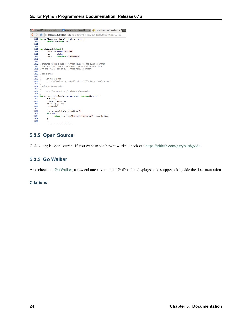

## **5.3.2 Open Source**

GoDoc.org is open source! If you want to see how it works, check out [https://github.com/garyburd/gddo!](https://github.com/garyburd/gddo)

## **5.3.3 Go Walker**

Also check out [Go Walker,](http://gowalker.org) a new enhanced version of GoDoc that displays code snippets alongside the documentation.

### **Citations**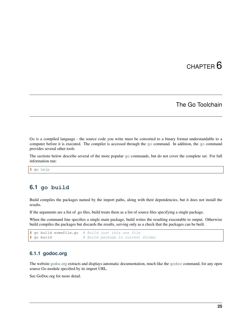## The Go Toolchain

<span id="page-28-0"></span>Go is a compiled language - the source code you write must be converted to a binary format understandable to a computer before it is executed. The compiler is accessed through the go command. In addition, the go command provides several other tools

The sections below describe several of the more popular go commands, but do not cover the complete set. For full information run:

**\$** go help

## <span id="page-28-1"></span>**6.1 go build**

Build compiles the packages named by the import paths, along with their dependencies, but it does not install the results.

If the arguments are a list of .go files, build treats them as a list of source files specifying a single package.

When the command line specifies a single main package, build writes the resulting executable to output. Otherwise build compiles the packages but discards the results, serving only as a check that the packages can be built.

```
$ go build somefile.go # Build just this one file
$ go build # Build package in current folder
```
### **6.1.1 godoc.org**

The website [godoc.org](http://godoc.org) extracts and displays automatic documentation, much like the godoc command, for any open source Go module specified by its import URL.

See GoDoc.org for more detail.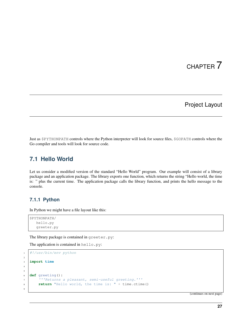# Project Layout

<span id="page-30-0"></span>Just as \$PYTHONPATH controls where the Python interpreter will look for source files, \$GOPATH controls where the Go compiler and tools will look for source code.

## <span id="page-30-1"></span>**7.1 Hello World**

Let us consider a modified version of the standard "Hello World" program. Our example will consist of a library package and an application package. The library exports one function, which returns the string "Hello world, the time is: " plus the current time. The application package calls the library function, and prints the hello message to the console.

### **7.1.1 Python**

In Python we might have a file layout like this:

```
$PYTHONPATH/
   hello.py
   greeter.py
```
2

4 5

9

The library package is contained in greeter.py:

The application is contained in hello.py:

```
1 #!/usr/bin/env python
3 import time
6 def greeting():
7 '''Returns a pleasant, semi-useful greeting.'''
8 return "Hello world, the time is: " + time.ctime()
```
(continues on next page)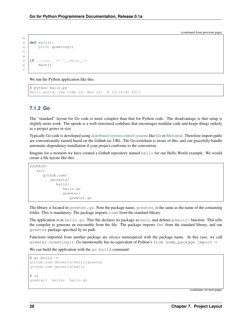```
10
11 def main():
12 print greeting()
13
14
15 if __name__ == '__main__':
16 main()
17
```
We run the Python application like this:

```
$ python hello.py
Hello world, the time is: Mon Jul 8 19:16:40 2013
```
### **7.1.2 Go**

The "standard" layout for Go code is more complex than that for Python code. The disadvantage is that setup is slightly more work. The upside is a well-structured codebase that encourages modular code and keeps things orderly as a project grows in size.

Typically Go code is developed using [distributed version control systems](https://en.wikipedia.org/wiki/Distributed_revision_control) like [Git](http://git-scm.com/) or [Mercurial.](http://mercurial.selenic.com/) Therefore import paths are conventionally named based on the Github etc URL. The Go toolchain is aware of this, and can gracefully handle automatic dependency installation if your project conforms to the convention.

Imagine for a moment we have created a Github repository named hello for our Hello World example. We would create a file layout like this:

```
$GOPATH/
   src/
      github.com/
         jmcvetta/
            hello/
               hello.go
                greeter/
                   greeter.go
```
The library is located in greeter.go. Note the package name, greeter, is the same as the name of the containing folder. This is mandatory. The package imports  $\tt\times$  time from the standard library.

The application is in hello.go. This file declares its package as main, and defines a main() function. This tells the compiler to generate an executable from the file. The package imports fmt from the standard library, and our greeter package specified by its path.

Functions imported from another package are *always* namespaced with the package name. In this case, we call greeter.Greeting(). Go intentionally has no equivalent of Python's from some\_package import  $\star$ .

We can build the application with the go build command:

```
$ go build -v
github.com/jmcvetta/hello/greeter
github.com/jmcvetta/hello
$ ls
greeter/ hello* hello.go
```
(continues on next page)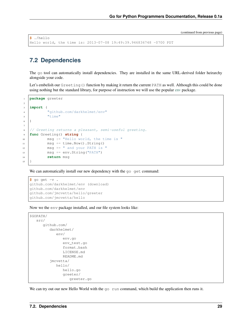```
$ ./hello
Hello world, the time is: 2013-07-08 19:49:39.946836748 -0700 PDT
```
# <span id="page-32-0"></span>**7.2 Dependencies**

2

7

The go tool can automatically install dependencies. They are installed in the same URL-derived folder heirarchy alongside your code.

Let's embelish our Greeting() function by making it return the current PATH as well. Although this could be done using nothing but the standard library, for purpose of instruction we will use the popular [env](https://github.com/darkhelmet/env) package.

```
1 package greeter
3 import (
4 "github.com/darkhelmet/env"
5 "time"
6 )
8 // Greeting returns a pleasant, semi-useful greeting.
9 func Greeting() string {
10 msg := "Hello world, the time is "
\text{msg} \text{+=} \text{time}.\text{Now}() \text{.String()}\log t = " and your PATH is "
13 msg += env.String("PATH")
14 return msg
15 }
```
We can automatically install our new dependency with the go get command:

```
$ go get -v .
github.com/darkhelmet/env (download)
github.com/darkhelmet/env
github.com/jmcvetta/hello/greeter
github.com/jmcvetta/hello
```
Now we the env package installed, and our file system looks like:

```
$GOPATH/
   src/
      github.com/
         darkhelmet/
            env/
               env.go
               env_test.go
               format.bash
               LICENSE.md
               README.md
         jmcvetta/
            hello/
               hello.go
               greeter/
                   greeter.go
```
We can try out our new Hello World with the go run command, which build the application then runs it.